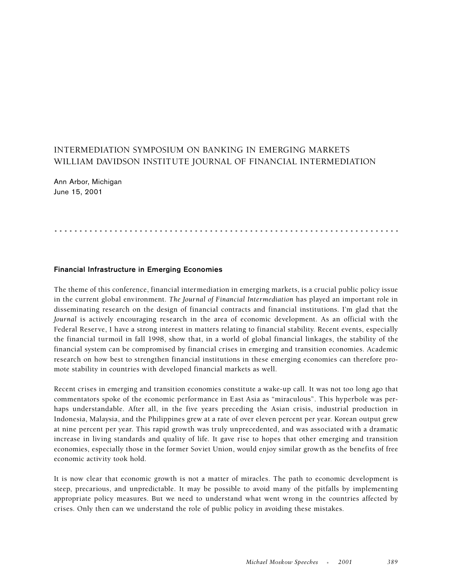# INTERMEDIATION SYMPOSIUM ON BANKING IN EMERGING MARKETS WILLIAM DAVIDSON INSTITUTE JOURNAL OF FINANCIAL INTERMEDIATION

Ann Arbor, Michigan June 15, 2001

# .....................................................................

#### **Financial Infrastructure in Emerging Economies**

The theme of this conference, financial intermediation in emerging markets, is a crucial public policy issue in the current global environment. *The Journal of Financial Intermediation* has played an important role in disseminating research on the design of financial contracts and financial institutions. I'm glad that the *Journal* is actively encouraging research in the area of economic development. As an official with the Federal Reserve, I have a strong interest in matters relating to financial stability. Recent events, especially the financial turmoil in fall 1998, show that, in a world of global financial linkages, the stability of the financial system can be compromised by financial crises in emerging and transition economies. Academic research on how best to strengthen financial institutions in these emerging economies can therefore promote stability in countries with developed financial markets as well.

Recent crises in emerging and transition economies constitute a wake-up call. It was not too long ago that commentators spoke of the economic performance in East Asia as "miraculous". This hyperbole was perhaps understandable. After all, in the five years preceding the Asian crisis, industrial production in Indonesia, Malaysia, and the Philippines grew at a rate of over eleven percent per year. Korean output grew at nine percent per year. This rapid growth was truly unprecedented, and was associated with a dramatic increase in living standards and quality of life. It gave rise to hopes that other emerging and transition economies, especially those in the former Soviet Union, would enjoy similar growth as the benefits of free economic activity took hold.

It is now clear that economic growth is not a matter of miracles. The path to economic development is steep, precarious, and unpredictable. It may be possible to avoid many of the pitfalls by implementing appropriate policy measures. But we need to understand what went wrong in the countries affected by crises. Only then can we understand the role of public policy in avoiding these mistakes.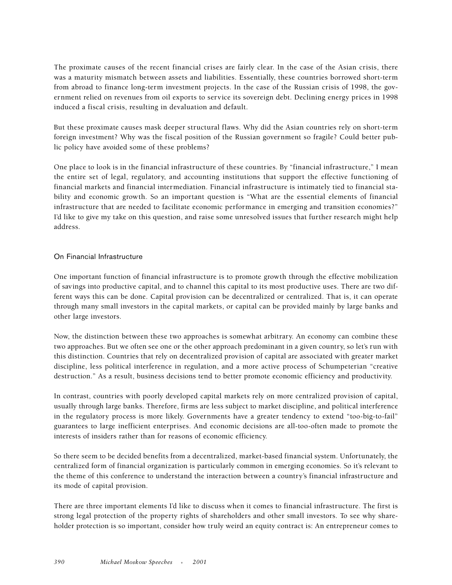The proximate causes of the recent financial crises are fairly clear. In the case of the Asian crisis, there was a maturity mismatch between assets and liabilities. Essentially, these countries borrowed short-term from abroad to finance long-term investment projects. In the case of the Russian crisis of 1998, the government relied on revenues from oil exports to service its sovereign debt. Declining energy prices in 1998 induced a fiscal crisis, resulting in devaluation and default.

But these proximate causes mask deeper structural flaws. Why did the Asian countries rely on short-term foreign investment? Why was the fiscal position of the Russian government so fragile? Could better public policy have avoided some of these problems?

One place to look is in the financial infrastructure of these countries. By "financial infrastructure," I mean the entire set of legal, regulatory, and accounting institutions that support the effective functioning of financial markets and financial intermediation. Financial infrastructure is intimately tied to financial stability and economic growth. So an important question is "What are the essential elements of financial infrastructure that are needed to facilitate economic performance in emerging and transition economies?" I'd like to give my take on this question, and raise some unresolved issues that further research might help address.

# On Financial Infrastructure

One important function of financial infrastructure is to promote growth through the effective mobilization of savings into productive capital, and to channel this capital to its most productive uses. There are two different ways this can be done. Capital provision can be decentralized or centralized. That is, it can operate through many small investors in the capital markets, or capital can be provided mainly by large banks and other large investors.

Now, the distinction between these two approaches is somewhat arbitrary. An economy can combine these two approaches. But we often see one or the other approach predominant in a given country, so let's run with this distinction. Countries that rely on decentralized provision of capital are associated with greater market discipline, less political interference in regulation, and a more active process of Schumpeterian "creative destruction." As a result, business decisions tend to better promote economic efficiency and productivity.

In contrast, countries with poorly developed capital markets rely on more centralized provision of capital, usually through large banks. Therefore, firms are less subject to market discipline, and political interference in the regulatory process is more likely. Governments have a greater tendency to extend "too-big-to-fail" guarantees to large inefficient enterprises. And economic decisions are all-too-often made to promote the interests of insiders rather than for reasons of economic efficiency.

So there seem to be decided benefits from a decentralized, market-based financial system. Unfortunately, the centralized form of financial organization is particularly common in emerging economies. So it's relevant to the theme of this conference to understand the interaction between a country's financial infrastructure and its mode of capital provision.

There are three important elements I'd like to discuss when it comes to financial infrastructure. The first is strong legal protection of the property rights of shareholders and other small investors. To see why shareholder protection is so important, consider how truly weird an equity contract is: An entrepreneur comes to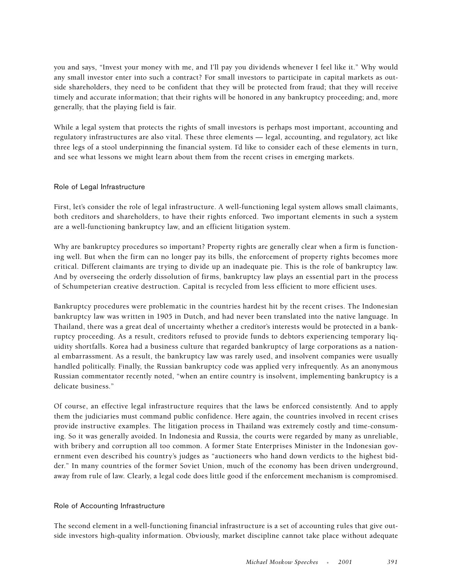you and says, "Invest your money with me, and I'll pay you dividends whenever I feel like it." Why would any small investor enter into such a contract? For small investors to participate in capital markets as outside shareholders, they need to be confident that they will be protected from fraud; that they will receive timely and accurate information; that their rights will be honored in any bankruptcy proceeding; and, more generally, that the playing field is fair.

While a legal system that protects the rights of small investors is perhaps most important, accounting and regulatory infrastructures are also vital. These three elements — legal, accounting, and regulatory, act like three legs of a stool underpinning the financial system. I'd like to consider each of these elements in turn, and see what lessons we might learn about them from the recent crises in emerging markets.

# Role of Legal Infrastructure

First, let's consider the role of legal infrastructure. A well-functioning legal system allows small claimants, both creditors and shareholders, to have their rights enforced. Two important elements in such a system are a well-functioning bankruptcy law, and an efficient litigation system.

Why are bankruptcy procedures so important? Property rights are generally clear when a firm is functioning well. But when the firm can no longer pay its bills, the enforcement of property rights becomes more critical. Different claimants are trying to divide up an inadequate pie. This is the role of bankruptcy law. And by overseeing the orderly dissolution of firms, bankruptcy law plays an essential part in the process of Schumpeterian creative destruction. Capital is recycled from less efficient to more efficient uses.

Bankruptcy procedures were problematic in the countries hardest hit by the recent crises. The Indonesian bankruptcy law was written in 1905 in Dutch, and had never been translated into the native language. In Thailand, there was a great deal of uncertainty whether a creditor's interests would be protected in a bankruptcy proceeding. As a result, creditors refused to provide funds to debtors experiencing temporary liquidity shortfalls. Korea had a business culture that regarded bankruptcy of large corporations as a national embarrassment. As a result, the bankruptcy law was rarely used, and insolvent companies were usually handled politically. Finally, the Russian bankruptcy code was applied very infrequently. As an anonymous Russian commentator recently noted, "when an entire country is insolvent, implementing bankruptcy is a delicate business."

Of course, an effective legal infrastructure requires that the laws be enforced consistently. And to apply them the judiciaries must command public confidence. Here again, the countries involved in recent crises provide instructive examples. The litigation process in Thailand was extremely costly and time-consuming. So it was generally avoided. In Indonesia and Russia, the courts were regarded by many as unreliable, with bribery and corruption all too common. A former State Enterprises Minister in the Indonesian government even described his country's judges as "auctioneers who hand down verdicts to the highest bidder." In many countries of the former Soviet Union, much of the economy has been driven underground, away from rule of law. Clearly, a legal code does little good if the enforcement mechanism is compromised.

#### Role of Accounting Infrastructure

The second element in a well-functioning financial infrastructure is a set of accounting rules that give outside investors high-quality information. Obviously, market discipline cannot take place without adequate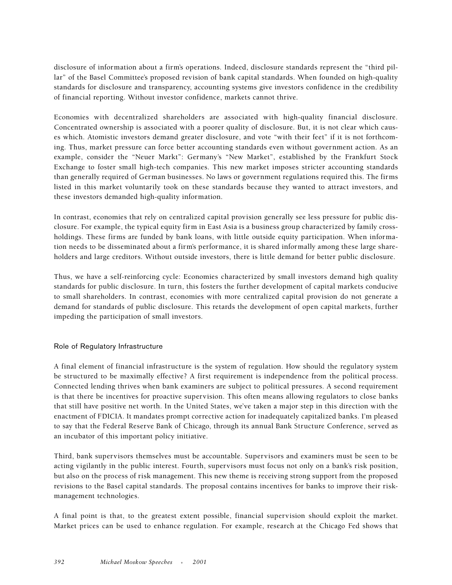disclosure of information about a firm's operations. Indeed, disclosure standards represent the "third pillar" of the Basel Committee's proposed revision of bank capital standards. When founded on high-quality standards for disclosure and transparency, accounting systems give investors confidence in the credibility of financial reporting. Without investor confidence, markets cannot thrive.

Economies with decentralized shareholders are associated with high-quality financial disclosure. Concentrated ownership is associated with a poorer quality of disclosure. But, it is not clear which causes which. Atomistic investors demand greater disclosure, and vote "with their feet" if it is not forthcoming. Thus, market pressure can force better accounting standards even without government action. As an example, consider the "Neuer Markt": Germany's "New Market", established by the Frankfurt Stock Exchange to foster small high-tech companies. This new market imposes stricter accounting standards than generally required of German businesses. No laws or government regulations required this. The firms listed in this market voluntarily took on these standards because they wanted to attract investors, and these investors demanded high-quality information.

In contrast, economies that rely on centralized capital provision generally see less pressure for public disclosure. For example, the typical equity firm in East Asia is a business group characterized by family crossholdings. These firms are funded by bank loans, with little outside equity participation. When information needs to be disseminated about a firm's performance, it is shared informally among these large shareholders and large creditors. Without outside investors, there is little demand for better public disclosure.

Thus, we have a self-reinforcing cycle: Economies characterized by small investors demand high quality standards for public disclosure. In turn, this fosters the further development of capital markets conducive to small shareholders. In contrast, economies with more centralized capital provision do not generate a demand for standards of public disclosure. This retards the development of open capital markets, further impeding the participation of small investors.

#### Role of Regulatory Infrastructure

A final element of financial infrastructure is the system of regulation. How should the regulatory system be structured to be maximally effective? A first requirement is independence from the political process. Connected lending thrives when bank examiners are subject to political pressures. A second requirement is that there be incentives for proactive supervision. This often means allowing regulators to close banks that still have positive net worth. In the United States, we've taken a major step in this direction with the enactment of FDICIA. It mandates prompt corrective action for inadequately capitalized banks. I'm pleased to say that the Federal Reserve Bank of Chicago, through its annual Bank Structure Conference, served as an incubator of this important policy initiative.

Third, bank supervisors themselves must be accountable. Supervisors and examiners must be seen to be acting vigilantly in the public interest. Fourth, supervisors must focus not only on a bank's risk position, but also on the process of risk management. This new theme is receiving strong support from the proposed revisions to the Basel capital standards. The proposal contains incentives for banks to improve their riskmanagement technologies.

A final point is that, to the greatest extent possible, financial supervision should exploit the market. Market prices can be used to enhance regulation. For example, research at the Chicago Fed shows that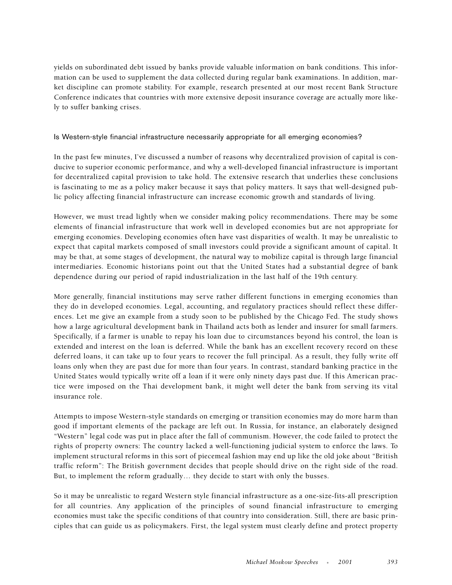yields on subordinated debt issued by banks provide valuable information on bank conditions. This information can be used to supplement the data collected during regular bank examinations. In addition, market discipline can promote stability. For example, research presented at our most recent Bank Structure Conference indicates that countries with more extensive deposit insurance coverage are actually more likely to suffer banking crises.

# Is Western-style financial infrastructure necessarily appropriate for all emerging economies?

In the past few minutes, I've discussed a number of reasons why decentralized provision of capital is conducive to superior economic performance, and why a well-developed financial infrastructure is important for decentralized capital provision to take hold. The extensive research that underlies these conclusions is fascinating to me as a policy maker because it says that policy matters. It says that well-designed public policy affecting financial infrastructure can increase economic growth and standards of living.

However, we must tread lightly when we consider making policy recommendations. There may be some elements of financial infrastructure that work well in developed economies but are not appropriate for emerging economies. Developing economies often have vast disparities of wealth. It may be unrealistic to expect that capital markets composed of small investors could provide a significant amount of capital. It may be that, at some stages of development, the natural way to mobilize capital is through large financial intermediaries. Economic historians point out that the United States had a substantial degree of bank dependence during our period of rapid industrialization in the last half of the 19th century.

More generally, financial institutions may serve rather different functions in emerging economies than they do in developed economies. Legal, accounting, and regulatory practices should reflect these differences. Let me give an example from a study soon to be published by the Chicago Fed. The study shows how a large agricultural development bank in Thailand acts both as lender and insurer for small farmers. Specifically, if a farmer is unable to repay his loan due to circumstances beyond his control, the loan is extended and interest on the loan is deferred. While the bank has an excellent recovery record on these deferred loans, it can take up to four years to recover the full principal. As a result, they fully write off loans only when they are past due for more than four years. In contrast, standard banking practice in the United States would typically write off a loan if it were only ninety days past due. If this American practice were imposed on the Thai development bank, it might well deter the bank from serving its vital insurance role.

Attempts to impose Western-style standards on emerging or transition economies may do more harm than good if important elements of the package are left out. In Russia, for instance, an elaborately designed "Western" legal code was put in place after the fall of communism. However, the code failed to protect the rights of property owners: The country lacked a well-functioning judicial system to enforce the laws. To implement structural reforms in this sort of piecemeal fashion may end up like the old joke about "British traffic reform": The British government decides that people should drive on the right side of the road. But, to implement the reform gradually… they decide to start with only the busses.

So it may be unrealistic to regard Western style financial infrastructure as a one-size-fits-all prescription for all countries. Any application of the principles of sound financial infrastructure to emerging economies must take the specific conditions of that country into consideration. Still, there are basic principles that can guide us as policymakers. First, the legal system must clearly define and protect property